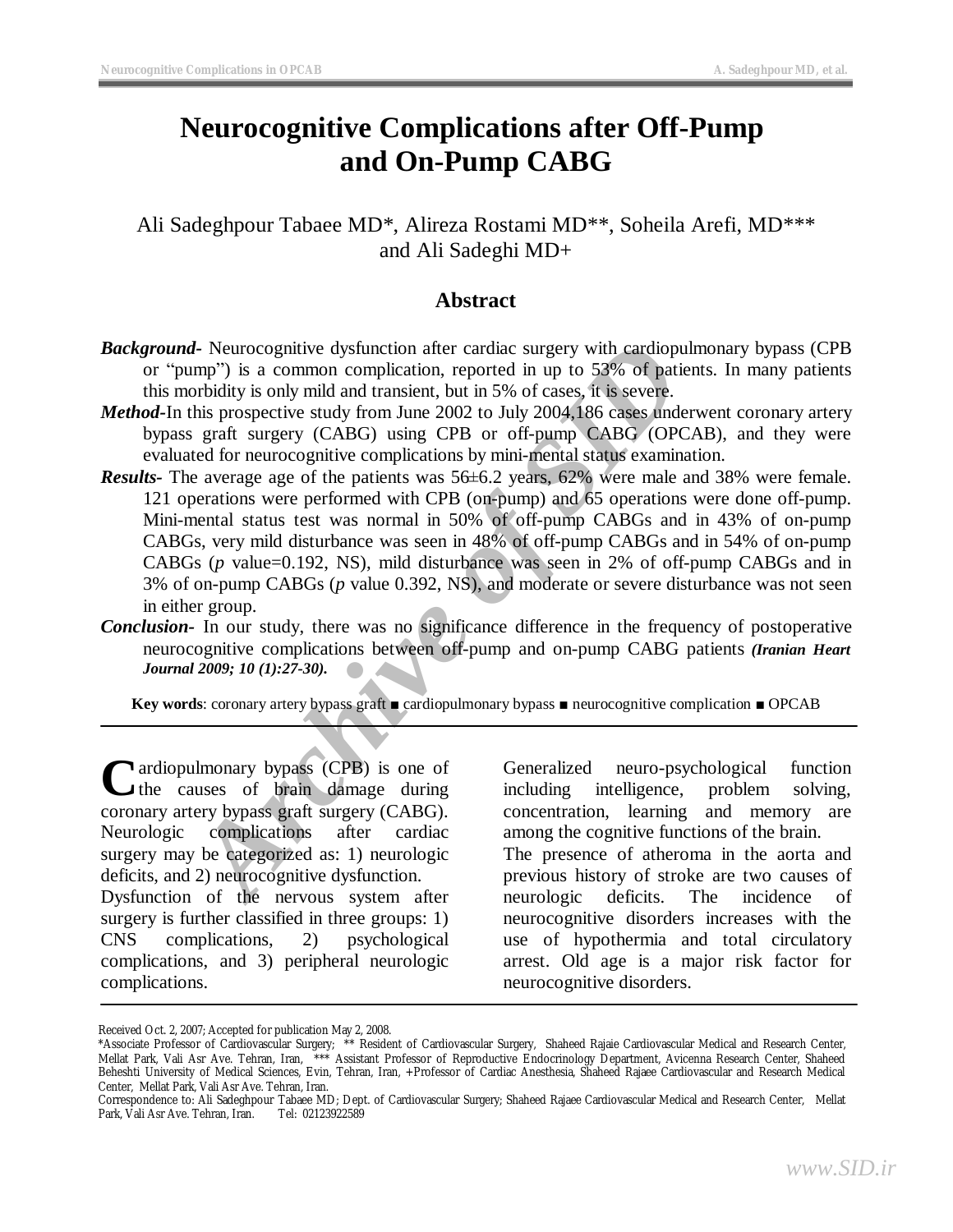# **Neurocognitive Complications after Off-Pump and On-Pump CABG**

Ali Sadeghpour Tabaee MD\*, Alireza Rostami MD\*\*, Soheila Arefi, MD\*\*\* and Ali Sadeghi MD+

## **Abstract**

- *Background-* Neurocognitive dysfunction after cardiac surgery with cardiopulmonary bypass (CPB or "pump") is a common complication, reported in up to 53% of patients. In many patients this morbidity is only mild and transient, but in 5% of cases, it is severe.
- *Method-*In this prospective study from June 2002 to July 2004,186 cases underwent coronary artery bypass graft surgery (CABG) using CPB or off-pump CABG (OPCAB), and they were evaluated for neurocognitive complications by mini-mental status examination.
- *A* Neurocognitive dysfunction after cardiac surgery with cardiopulme<br> *Are* by is a common complication, reported in up to 53% of patients<br>
orbidity is only mild and transient, but in 5% of cases, it is severe.<br>
this pro *Results-* The average age of the patients was 56±6.2 years, 62% were male and 38% were female. 121 operations were performed with CPB (on-pump) and 65 operations were done off-pump. Mini-mental status test was normal in 50% of off-pump CABGs and in 43% of on-pump CABGs, very mild disturbance was seen in 48% of off-pump CABGs and in 54% of on-pump CABGs (*p* value=0.192, NS), mild disturbance was seen in 2% of off-pump CABGs and in 3% of on-pump CABGs (*p* value 0.392, NS), and moderate or severe disturbance was not seen in either group.
- *Conclusion-* In our study, there was no significance difference in the frequency of postoperative neurocognitive complications between off-pump and on-pump CABG patients *(Iranian Heart Journal 2009; 10 (1):27-30).*

**Key words**: coronary artery bypass graft ■ cardiopulmonary bypass ■ neurocognitive complication ■ OPCAB

ardiopulmonary bypass (CPB) is one of Cardiopulmonary bypass (CPB) is one of<br>the causes of brain damage during coronary artery bypass graft surgery (CABG). Neurologic complications after cardiac surgery may be categorized as: 1) neurologic deficits, and 2) neurocognitive dysfunction. Dysfunction of the nervous system after surgery is further classified in three groups: 1)

CNS complications, 2) psychological complications, and 3) peripheral neurologic complications.

Generalized neuro-psychological function including intelligence, problem solving, concentration, learning and memory are among the cognitive functions of the brain.

The presence of atheroma in the aorta and previous history of stroke are two causes of neurologic deficits. The incidence of neurocognitive disorders increases with the use of hypothermia and total circulatory arrest. Old age is a major risk factor for neurocognitive disorders.

Received Oct. 2, 2007; Accepted for publication May 2, 2008.

<sup>\*</sup>Associate Professor of Cardiovascular Surgery; \*\* Resident of Cardiovascular Surgery, Shaheed Rajaie Cardiovascular Medical and Research Center, Mellat Park, Vali Asr Ave. Tehran, Iran, \*\*\* Assistant Professor of Reproductive Endocrinology Department, Avicenna Research Center, Shaheed Beheshti University of Medical Sciences, Evin, Tehran, Iran, +Professor of Cardiac Anesthesia, Shaheed Rajaee Cardiovascular and Research Medical Center, Mellat Park, Vali Asr Ave. Tehran, Iran.

Correspondence to: Ali Sadeghpour Tabaee MD; Dept. of Cardiovascular Surgery; Shaheed Rajaee Cardiovascular Medical and Research Center, Mellat Park, Vali Asr Ave. Tehran, Iran.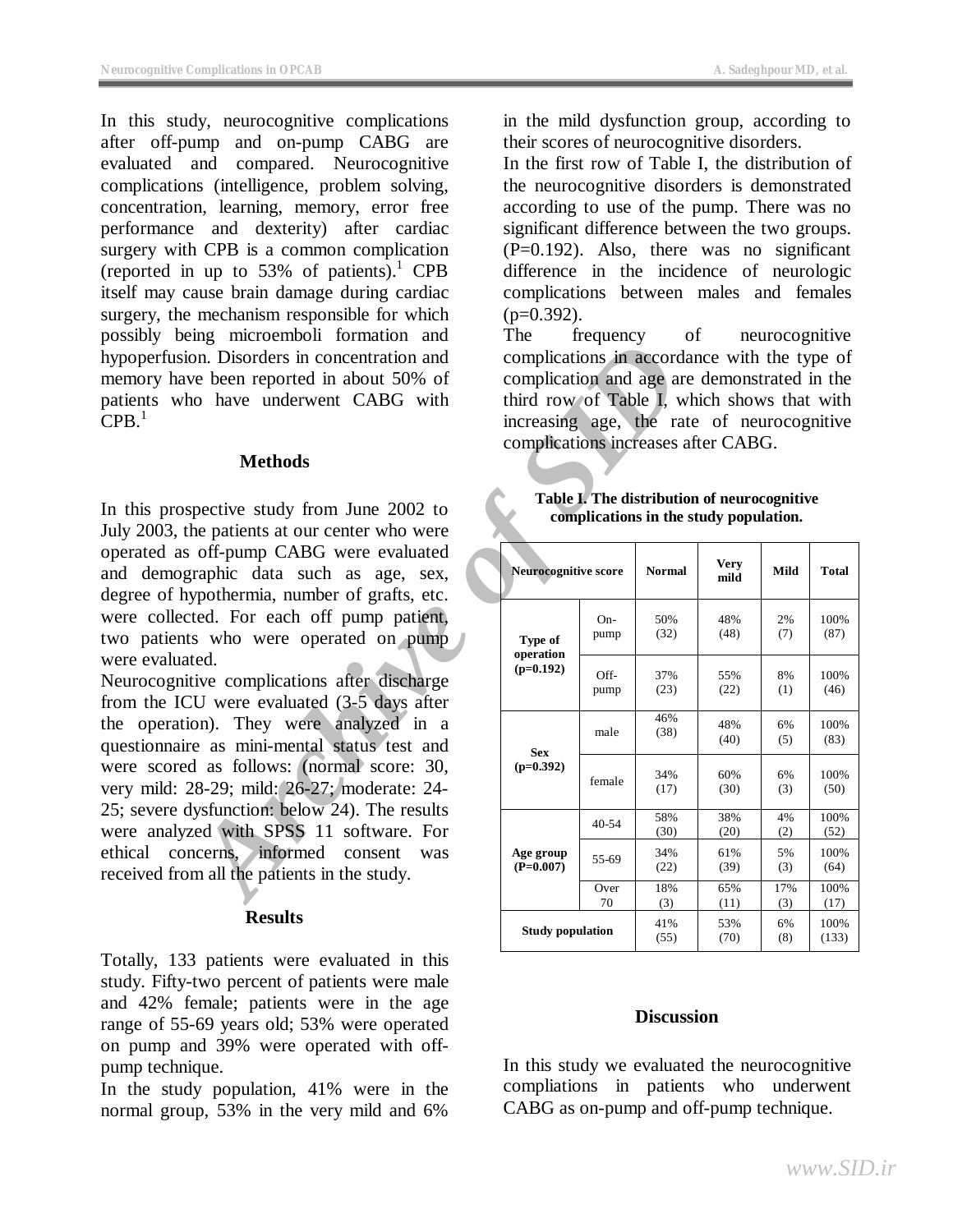In this study, neurocognitive complications after off-pump and on-pump CABG are evaluated and compared. Neurocognitive complications (intelligence, problem solving, concentration, learning, memory, error free performance and dexterity) after cardiac surgery with CPB is a common complication (reported in up to  $53\%$  of patients).<sup>1</sup> CPB itself may cause brain damage during cardiac surgery, the mechanism responsible for which possibly being microemboli formation and hypoperfusion. Disorders in concentration and memory have been reported in about 50% of patients who have underwent CABG with  $CPB<sup>1</sup>$ 

## **Methods**

In this prospective study from June 2002 to July 2003, the patients at our center who were operated as off-pump CABG were evaluated and demographic data such as age, sex, degree of hypothermia, number of grafts, etc. were collected. For each off pump patient, two patients who were operated on pump were evaluated.

Neurocognitive complications after discharge from the ICU were evaluated (3-5 days after the operation). They were analyzed in a questionnaire as mini-mental status test and were scored as follows: (normal score: 30, very mild: 28-29; mild: 26-27; moderate: 24- 25; severe dysfunction: below 24). The results were analyzed with SPSS 11 software. For ethical concerns, informed consent was received from all the patients in the study.

## **Results**

Totally, 133 patients were evaluated in this study. Fifty-two percent of patients were male and 42% female; patients were in the age range of 55-69 years old; 53% were operated on pump and 39% were operated with offpump technique.

In the study population, 41% were in the normal group, 53% in the very mild and 6%

in the mild dysfunction group, according to their scores of neurocognitive disorders.

In the first row of Table I, the distribution of the neurocognitive disorders is demonstrated according to use of the pump. There was no significant difference between the two groups. (P=0.192). Also, there was no significant difference in the incidence of neurologic complications between males and females  $(p=0.392)$ .

The frequency of neurocognitive complications in accordance with the type of complication and age are demonstrated in the third row of Table I, which shows that with increasing age, the rate of neurocognitive complications increases after CABG.

#### **Table I. The distribution of neurocognitive complications in the study population.**

| microcinoon formation<br>on. Disorders in concentration and<br>ve been reported in about 50% of<br>no have underwent CABG with<br><b>Methods</b>                                                                                                                                                                                                                                                                                                                                         | noqueno,<br>complications in accordance with the type of<br>complication and age are demonstrated in the<br>third row of Table I, which shows that with<br>increasing age, the rate of neurocognitive<br>complications increases after CABG. |              |             |                     |            |               |
|------------------------------------------------------------------------------------------------------------------------------------------------------------------------------------------------------------------------------------------------------------------------------------------------------------------------------------------------------------------------------------------------------------------------------------------------------------------------------------------|----------------------------------------------------------------------------------------------------------------------------------------------------------------------------------------------------------------------------------------------|--------------|-------------|---------------------|------------|---------------|
| spective study from June 2002 to<br>he patients at our center who were<br>off-pump CABG were evaluated<br>graphic data such as age, sex,<br>ypothermia, number of grafts, etc.<br>ted. For each off pump patient,<br>ts who were operated on pump<br>ted.<br>tive complications after discharge<br>$CU$ were evaluated $(3-5)$ days after<br>ion). They were analyzed in a<br>re as mini-mental status test and<br>d as follows: (normal score: 30,<br>28-29; mild: 26-27; moderate: 24- | Table I. The distribution of neurocognitive<br>complications in the study population.<br><b>Very</b><br><b>Neurocognitive score</b><br><b>Normal</b><br>Mild<br><b>Total</b>                                                                 |              |             |                     |            |               |
|                                                                                                                                                                                                                                                                                                                                                                                                                                                                                          | Type of<br>operation<br>$(p=0.192)$                                                                                                                                                                                                          | On-<br>pump  | 50%<br>(32) | mild<br>48%<br>(48) | 2%<br>(7)  | 100%<br>(87)  |
|                                                                                                                                                                                                                                                                                                                                                                                                                                                                                          |                                                                                                                                                                                                                                              | Off-<br>pump | 37%<br>(23) | 55%<br>(22)         | 8%<br>(1)  | 100%<br>(46)  |
|                                                                                                                                                                                                                                                                                                                                                                                                                                                                                          | <b>Sex</b><br>$(p=0.392)$                                                                                                                                                                                                                    | male         | 46%<br>(38) | 48%<br>(40)         | 6%<br>(5)  | 100%<br>(83)  |
|                                                                                                                                                                                                                                                                                                                                                                                                                                                                                          |                                                                                                                                                                                                                                              | female       | 34%<br>(17) | 60%<br>(30)         | 6%<br>(3)  | 100%<br>(50)  |
| lysfunction: below 24). The results<br>zed with SPSS 11 software. For                                                                                                                                                                                                                                                                                                                                                                                                                    | Age group<br>$(P=0.007)$                                                                                                                                                                                                                     | $40 - 54$    | 58%<br>(30) | 38%<br>(20)         | 4%<br>(2)  | 100%<br>(52)  |
| ncerns, informed consent<br>was<br>m all the patients in the study.<br><b>Results</b>                                                                                                                                                                                                                                                                                                                                                                                                    |                                                                                                                                                                                                                                              | 55-69        | 34%<br>(22) | 61%<br>(39)         | 5%<br>(3)  | 100%<br>(64)  |
|                                                                                                                                                                                                                                                                                                                                                                                                                                                                                          |                                                                                                                                                                                                                                              | Over<br>70   | 18%<br>(3)  | 65%<br>(11)         | 17%<br>(3) | 100%<br>(17)  |
|                                                                                                                                                                                                                                                                                                                                                                                                                                                                                          | <b>Study population</b>                                                                                                                                                                                                                      |              | 41%<br>(55) | 53%<br>(70)         | 6%<br>(8)  | 100%<br>(133) |

## **Discussion**

In this study we evaluated the neurocognitive compliations in patients who underwent CABG as on-pump and off-pump technique.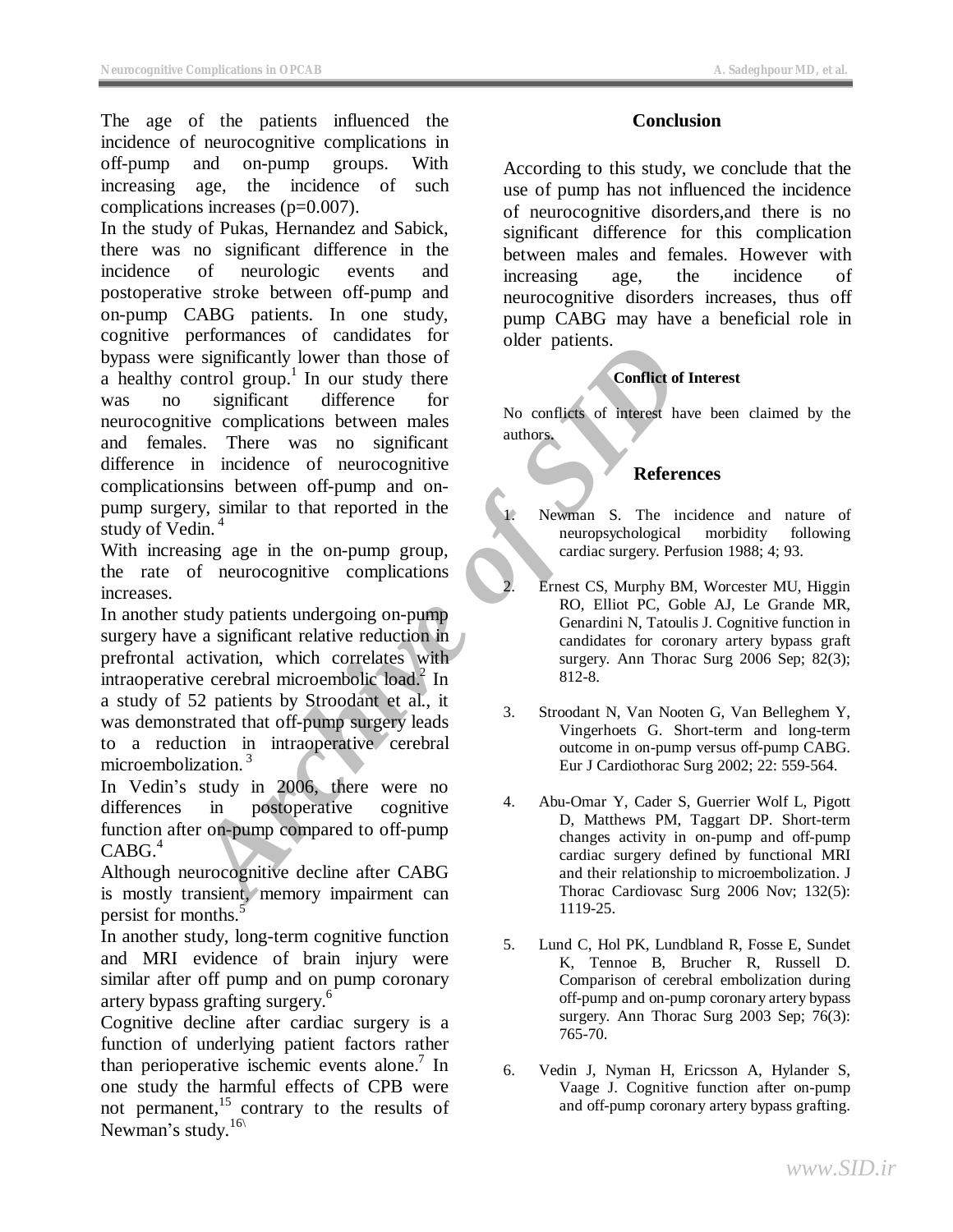The age of the patients influenced the incidence of neurocognitive complications in off-pump and on-pump groups. With increasing age, the incidence of such complications increases (p=0.007).

Examinated of the significant of the significant of the significant of the significant of the complications between onles of the complications between of the complications between of the complications between of neurocogni In the study of Pukas, Hernandez and Sabick, there was no significant difference in the incidence of neurologic events and postoperative stroke between off-pump and on-pump CABG patients. In one study, cognitive performances of candidates for bypass were significantly lower than those of  $\alpha$  healthy control group.<sup>1</sup> In our study there was no significant difference for neurocognitive complications between males and females. There was no significant difference in incidence of neurocognitive complicationsins between off-pump and onpump surgery, similar to that reported in the study of Vedin.<sup>4</sup>

With increasing age in the on-pump group, the rate of neurocognitive complications increases.

In another study patients undergoing on-pump surgery have a significant relative reduction in prefrontal activation, which correlates with intraoperative cerebral microembolic load.<sup>2</sup> In a study of 52 patients by Stroodant et al., it was demonstrated that off-pump surgery leads to a reduction in intraoperative cerebral microembolization.<sup>3</sup>

In Vedin's study in 2006, there were no differences in postoperative cognitive function after on-pump compared to off-pump  $CABG<sup>4</sup>$ 

Although neurocognitive decline after CABG is mostly transient, memory impairment can persist for months.<sup>5</sup>

In another study, long-term cognitive function and MRI evidence of brain injury were similar after off pump and on pump coronary artery bypass grafting surgery. 6

Cognitive decline after cardiac surgery is a function of underlying patient factors rather than perioperative ischemic events alone.<sup>7</sup> In one study the harmful effects of CPB were not permanent, $15$  contrary to the results of Newman's study.<sup>16\</sup>

## **Conclusion**

According to this study, we conclude that the use of pump has not influenced the incidence of neurocognitive disorders,and there is no significant difference for this complication between males and females. However with increasing age, the incidence of neurocognitive disorders increases, thus off pump CABG may have a beneficial role in older patients.

## **Conflict of Interest**

No conflicts of interest have been claimed by the authors.

## **References**

Newman S. The incidence and nature of neuropsychological morbidity following cardiac surgery. Perfusion 1988; 4; 93.

- **Ernest CS, Murphy BM, Worcester MU, Higgin** RO, Elliot PC, Goble AJ, Le Grande MR, Genardini N, Tatoulis J. Cognitive function in candidates for coronary artery bypass graft surgery. Ann Thorac Surg 2006 Sep; 82(3); 812-8.
- 3. Stroodant N, Van Nooten G, Van Belleghem Y, Vingerhoets G. Short-term and long-term outcome in on-pump versus off-pump CABG. Eur J Cardiothorac Surg 2002; 22: 559-564.
- 4. Abu-Omar Y, Cader S, Guerrier Wolf L, Pigott D, Matthews PM, Taggart DP. Short-term changes activity in on-pump and off-pump cardiac surgery defined by functional MRI and their relationship to microembolization. J Thorac Cardiovasc Surg 2006 Nov; 132(5): 1119-25.
- 5. Lund C, Hol PK, Lundbland R, Fosse E, Sundet K, Tennoe B, Brucher R, Russell D. Comparison of cerebral embolization during off-pump and on-pump coronary artery bypass surgery. Ann Thorac Surg 2003 Sep; 76(3): 765-70.
- 6. Vedin J, Nyman H, Ericsson A, Hylander S, Vaage J. Cognitive function after on-pump and off-pump coronary artery bypass grafting.